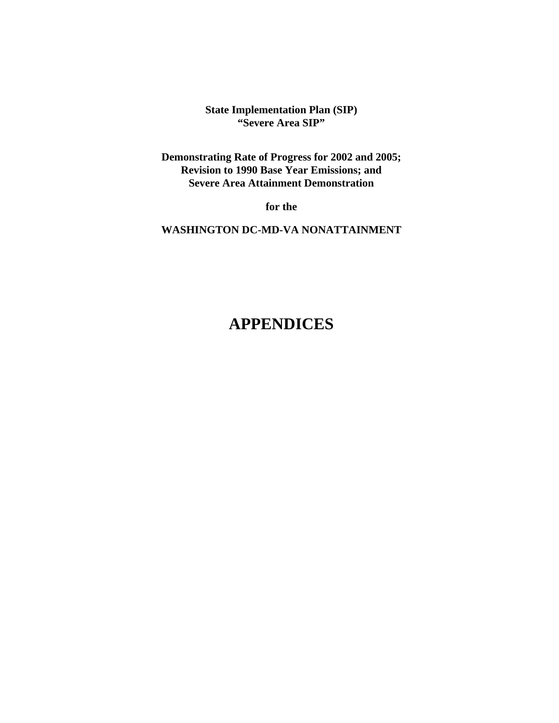**State Implementation Plan (SIP) "Severe Area SIP"**

**Demonstrating Rate of Progress for 2002 and 2005; Revision to 1990 Base Year Emissions; and Severe Area Attainment Demonstration**

**for the** 

**WASHINGTON DC-MD-VA NONATTAINMENT**

### **APPENDICES**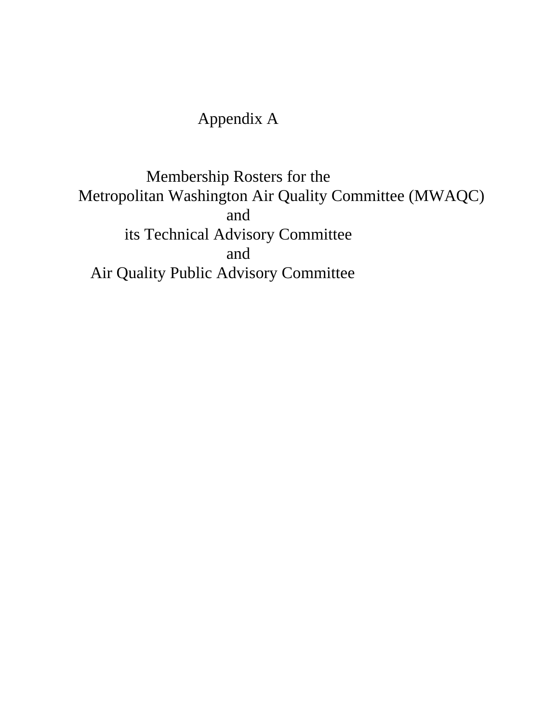# Appendix A

Membership Rosters for the Metropolitan Washington Air Quality Committee (MWAQC) and its Technical Advisory Committee and Air Quality Public Advisory Committee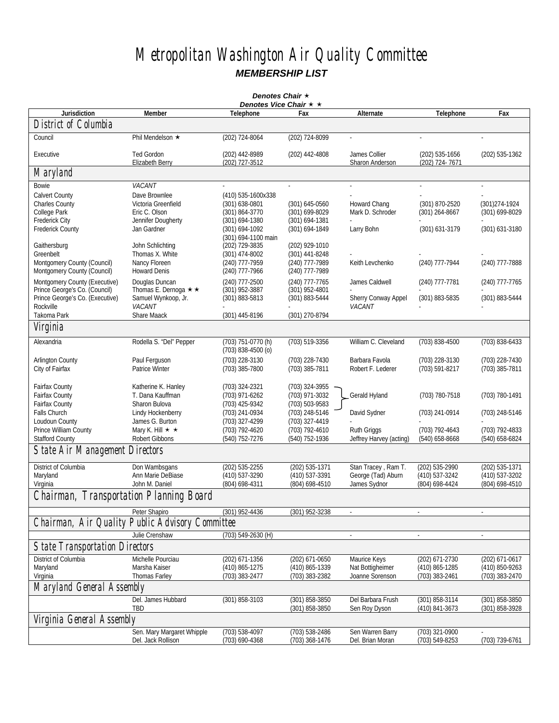## *Metropolitan Washington Air Quality Committee MEMBERSHIP LIST*

| Denotes Chair *                         |                                      |                                               |                    |                                  |                                  |                          |
|-----------------------------------------|--------------------------------------|-----------------------------------------------|--------------------|----------------------------------|----------------------------------|--------------------------|
| <b>Jurisdiction</b>                     | Member                               | Denotes Vice Chair $\star \star$<br>Telephone | Fax                | Alternate                        | Telephone                        | Fax                      |
| District of Columbia                    |                                      |                                               |                    |                                  |                                  |                          |
|                                         |                                      |                                               |                    |                                  |                                  |                          |
| Council                                 | Phil Mendelson ★                     | (202) 724-8064                                | (202) 724-8099     |                                  | ÷.                               | ÷.                       |
| Executive                               | <b>Ted Gordon</b><br>Elizabeth Berry | (202) 442-8989<br>(202) 727-3512              | (202) 442-4808     | James Collier<br>Sharon Anderson | (202) 535-1656<br>(202) 724-7671 | (202) 535-1362           |
| Maryland                                |                                      |                                               |                    |                                  |                                  |                          |
| Bowie                                   | VACANT                               |                                               |                    |                                  |                                  |                          |
| Calvert County                          | Dave Brownlee                        | (410) 535-1600x338                            |                    |                                  |                                  |                          |
| <b>Charles County</b>                   | Victoria Greenfield                  | (301) 638-0801                                | (301) 645-0560     | Howard Chang                     | (301) 870-2520                   | (301) 274-1924           |
| College Park                            | Eric C. Olson                        | (301) 864-3770                                | (301) 699-8029     | Mark D. Schroder                 | (301) 264-8667                   | (301) 699-8029           |
| <b>Frederick City</b>                   | Jennifer Dougherty                   | $(301)$ 694-1380                              | $(301) 694 - 1381$ |                                  |                                  |                          |
| <b>Frederick County</b>                 | Jan Gardner                          | (301) 694-1092                                | (301) 694-1849     | Larry Bohn                       | (301) 631-3179                   | (301) 631-3180           |
|                                         |                                      | (301) 694-1100 main                           |                    |                                  |                                  |                          |
| Gaithersburg                            | John Schlichting                     | (202) 729-3835                                | (202) 929-1010     |                                  |                                  |                          |
| Greenbelt                               | Thomas X. White                      | (301) 474-8002                                | (301) 441-8248     |                                  |                                  |                          |
| Montgomery County (Council)             | Nancy Floreen                        | (240) 777-7959                                | (240) 777-7989     | Keith Levchenko                  | (240) 777-7944                   | (240) 777-7888           |
| Montgomery County (Council)             | <b>Howard Denis</b>                  | (240) 777-7966                                | (240) 777-7989     |                                  |                                  |                          |
| Montgomery County (Executive)           | Douglas Duncan                       | (240) 777-2500                                | (240) 777-7765     | James Caldwell                   | (240) 777-7781                   | (240) 777-7765           |
| Prince George's Co. (Council)           | Thomas E. Dernoga $\star \star$      | (301) 952-3887                                | (301) 952-4801     |                                  |                                  |                          |
| Prince George's Co. (Executive)         | Samuel Wynkoop, Jr.                  | (301) 883-5813                                | (301) 883-5444     | Sherry Conway Appel              | (301) 883-5835                   | (301) 883-5444           |
| Rockville                               | VACANT                               |                                               |                    | VACANT                           |                                  |                          |
| Takoma Park                             | Share Maack                          | (301) 445-8196                                | (301) 270-8794     |                                  |                                  |                          |
| Virginia                                |                                      |                                               |                    |                                  |                                  |                          |
| Alexandria                              | Rodella S. "Del" Pepper              | (703) 751-0770 (h)<br>$(703)$ 838-4500 $(0)$  | $(703) 519 - 3356$ | William C. Cleveland             | (703) 838-4500                   | (703) 838-6433           |
| <b>Arlington County</b>                 | Paul Ferguson                        | (703) 228-3130                                | (703) 228-7430     | Barbara Favola                   | (703) 228-3130                   | (703) 228-7430           |
| City of Fairfax                         | <b>Patrice Winter</b>                | (703) 385-7800                                | (703) 385-7811     | Robert F. Lederer                | (703) 591-8217                   | (703) 385-7811           |
|                                         |                                      |                                               |                    |                                  |                                  |                          |
| Fairfax County                          | Katherine K. Hanley                  | (703) 324-2321                                | (703) 324-3955     |                                  |                                  |                          |
| Fairfax County                          | T. Dana Kauffman                     | (703) 971-6262                                | (703) 971-3032     | Gerald Hyland                    | (703) 780-7518                   | (703) 780-1491           |
| <b>Fairfax County</b>                   | Sharon Bulova                        | (703) 425-9342                                | (703) 503-9583     |                                  |                                  |                          |
| Falls Church                            | Lindy Hockenberry                    | (703) 241-0934                                | (703) 248-5146     | David Sydner                     | (703) 241-0914                   | (703) 248-5146           |
| Loudoun County                          | James G. Burton                      | (703) 327-4299                                | (703) 327-4419     |                                  |                                  |                          |
| Prince William County                   | Mary K. Hill $\star \star$           | (703) 792-4620                                | (703) 792-4610     | <b>Ruth Griggs</b>               | (703) 792-4643                   | (703) 792-4833           |
| <b>Stafford County</b>                  | Robert Gibbons                       | (540) 752-7276                                | (540) 752-1936     | Jeffrey Harvey (acting)          | (540) 658-8668                   | (540) 658-6824           |
| State Air Management Directors          |                                      |                                               |                    |                                  |                                  |                          |
| District of Columbia                    | Don Wambsgans                        | (202) 535-2255                                | (202) 535-1371     | Stan Tracey, Ram T.              | (202) 535-2990                   | (202) 535-1371           |
| Maryland                                | Ann Marie DeBiase                    | (410) 537-3290                                | (410) 537-3391     | George (Tad) Aburn               | (410) 537-3242                   | (410) 537-3202           |
| Virginia                                | John M. Daniel                       | (804) 698-4311                                | (804) 698-4510     | James Sydnor                     | (804) 698-4424                   | (804) 698-4510           |
| Chairman, Transportation Planning Board |                                      |                                               |                    |                                  |                                  |                          |
|                                         | Peter Shapiro                        | $(301)$ 952-4436                              | (301) 952-3238     |                                  |                                  |                          |
| Chairman, Air Quality                   | <b>Public Advisory Committee</b>     |                                               |                    |                                  |                                  |                          |
|                                         | Julie Crenshaw                       | $(703) 549 - 2630 (H)$                        |                    | $\sim$                           | ä,                               | $\overline{\phantom{a}}$ |
| <b>State Transportation Directors</b>   |                                      |                                               |                    |                                  |                                  |                          |
| District of Columbia                    | Michelle Pourciau                    | (202) 671-1356                                | (202) 671-0650     | Maurice Keys                     | (202) 671-2730                   | (202) 671-0617           |
| Maryland                                | Marsha Kaiser                        | (410) 865-1275                                | (410) 865-1339     | Nat Bottigheimer                 | (410) 865-1285                   | (410) 850-9263           |
| Virginia                                | Thomas Farley                        | (703) 383-2477                                | (703) 383-2382     | Joanne Sorenson                  | (703) 383-2461                   | (703) 383-2470           |
| <b>Maryland General Assembly</b>        |                                      |                                               |                    |                                  |                                  |                          |
|                                         | Del. James Hubbard                   | $(301) 858 - 3103$                            | (301) 858-3850     | Del Barbara Frush                | (301) 858-3114                   | (301) 858-3850           |
|                                         | TBD                                  |                                               | (301) 858-3850     | Sen Roy Dyson                    | (410) 841-3673                   | (301) 858-3928           |
| Virginia General Assembly               |                                      |                                               |                    |                                  |                                  |                          |
|                                         | Sen. Mary Margaret Whipple           | (703) 538-4097                                | (703) 538-2486     | Sen Warren Barry                 | (703) 321-0900                   |                          |
|                                         | Del. Jack Rollison                   | (703) 690-4368                                | (703) 368-1476     | Del. Brian Moran                 | (703) 549-8253                   | (703) 739-6761           |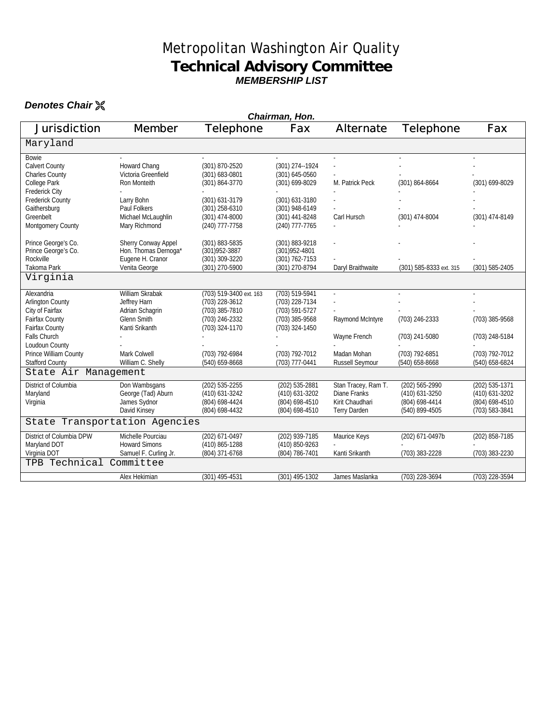#### Metropolitan Washington Air Quality **Technical Advisory Committee** *MEMBERSHIP LIST*

#### **Denotes Chair**  $\%$

| Chairman, Hon.                                                                                   |                                                                                            |                                                                                                 |                                                                                        |                                                                               |                                                                      |                                                                      |
|--------------------------------------------------------------------------------------------------|--------------------------------------------------------------------------------------------|-------------------------------------------------------------------------------------------------|----------------------------------------------------------------------------------------|-------------------------------------------------------------------------------|----------------------------------------------------------------------|----------------------------------------------------------------------|
| <b>Jurisdiction</b>                                                                              | <b>Member</b>                                                                              | <b>Telephone</b>                                                                                | Fax                                                                                    | <b>Alternate</b>                                                              | <b>Telephone</b>                                                     | Fax                                                                  |
| Maryland                                                                                         |                                                                                            |                                                                                                 |                                                                                        |                                                                               |                                                                      |                                                                      |
| <b>Bowie</b><br>Calvert County<br><b>Charles County</b><br>College Park<br><b>Frederick City</b> | Howard Chang<br>Victoria Greenfield<br>Ron Monteith                                        | (301) 870-2520<br>(301) 683-0801<br>(301) 864-3770                                              | (301) 274--1924<br>(301) 645-0560<br>(301) 699-8029                                    | M. Patrick Peck                                                               | (301) 864-8664                                                       | (301) 699-8029                                                       |
| <b>Frederick County</b><br>Gaithersburg<br>Greenbelt<br>Montgomery County                        | Larry Bohn<br>Paul Folkers<br>Michael McLaughlin<br>Mary Richmond                          | (301) 631-3179<br>(301) 258-6310<br>$(301)$ 474-8000<br>(240) 777-7758                          | (301) 631-3180<br>(301) 948-6149<br>$(301)$ 441-8248<br>(240) 777-7765                 | Carl Hursch                                                                   | (301) 474-8004                                                       | (301) 474-8149                                                       |
| Prince George's Co.<br>Prince George's Co.<br>Rockville<br>Takoma Park                           | <b>Sherry Conway Appel</b><br>Hon. Thomas Dernoga*<br>Eugene H. Cranor<br>Venita George    | (301) 883-5835<br>(301) 952-3887<br>(301) 309-3220<br>(301) 270-5900                            | (301) 883-9218<br>(301) 952-4801<br>$(301) 762 - 7153$<br>(301) 270-8794               | Daryl Braithwaite                                                             | (301) 585-8333 ext. 315                                              | (301) 585-2405                                                       |
| Virginia                                                                                         |                                                                                            |                                                                                                 |                                                                                        |                                                                               |                                                                      |                                                                      |
| Alexandria<br><b>Arlington County</b><br>City of Fairfax<br>Fairfax County<br>Fairfax County     | William Skrabak<br>Jeffrey Harn<br>Adrian Schagrin<br><b>Glenn Smith</b><br>Kanti Srikanth | (703) 519-3400 ext. 163<br>(703) 228-3612<br>(703) 385-7810<br>(703) 246-2332<br>(703) 324-1170 | (703) 519-5941<br>(703) 228-7134<br>(703) 591-5727<br>(703) 385-9568<br>(703) 324-1450 | Raymond McIntyre                                                              | (703) 246-2333                                                       | (703) 385-9568                                                       |
| Falls Church<br>Loudoun County                                                                   |                                                                                            |                                                                                                 |                                                                                        | Wayne French                                                                  | (703) 241-5080                                                       | (703) 248-5184                                                       |
| Prince William County<br><b>Stafford County</b>                                                  | Mark Colwell<br>William C. Shelly                                                          | (703) 792-6984<br>(540) 659-8668                                                                | (703) 792-7012<br>(703) 777-0441                                                       | Madan Mohan<br><b>Russell Seymour</b>                                         | (703) 792-6851<br>(540) 658-8668                                     | (703) 792-7012<br>(540) 658-6824                                     |
| State Air Management                                                                             |                                                                                            |                                                                                                 |                                                                                        |                                                                               |                                                                      |                                                                      |
| District of Columbia<br>Maryland<br>Virginia                                                     | Don Wambsgans<br>George (Tad) Aburn<br>James Sydnor<br>David Kinsey                        | (202) 535-2255<br>(410) 631-3242<br>(804) 698-4424<br>(804) 698-4432                            | (202) 535-2881<br>(410) 631-3202<br>(804) 698-4510<br>(804) 698-4510                   | Stan Tracey, Ram T.<br>Diane Franks<br>Kirit Chaudhari<br><b>Terry Darden</b> | (202) 565-2990<br>(410) 631-3250<br>(804) 698-4414<br>(540) 899-4505 | (202) 535-1371<br>(410) 631-3202<br>(804) 698-4510<br>(703) 583-3841 |
| State Transportation Agencies                                                                    |                                                                                            |                                                                                                 |                                                                                        |                                                                               |                                                                      |                                                                      |
| District of Columbia DPW<br>Maryland DOT<br>Virginia DOT                                         | Michelle Pourciau<br><b>Howard Simons</b><br>Samuel F. Curling Jr.                         | (202) 671-0497<br>(410) 865-1288<br>(804) 371-6768                                              | (202) 939-7185<br>(410) 850-9263<br>(804) 786-7401                                     | Maurice Keys<br>Kanti Srikanth                                                | (202) 671-0497b<br>(703) 383-2228                                    | (202) 858-7185<br>(703) 383-2230                                     |
| TPB Technical Committee                                                                          |                                                                                            |                                                                                                 |                                                                                        |                                                                               |                                                                      |                                                                      |
|                                                                                                  | Alex Hekimian                                                                              | (301) 495-4531                                                                                  | (301) 495-1302                                                                         | James Maslanka                                                                | (703) 228-3694                                                       | (703) 228-3594                                                       |